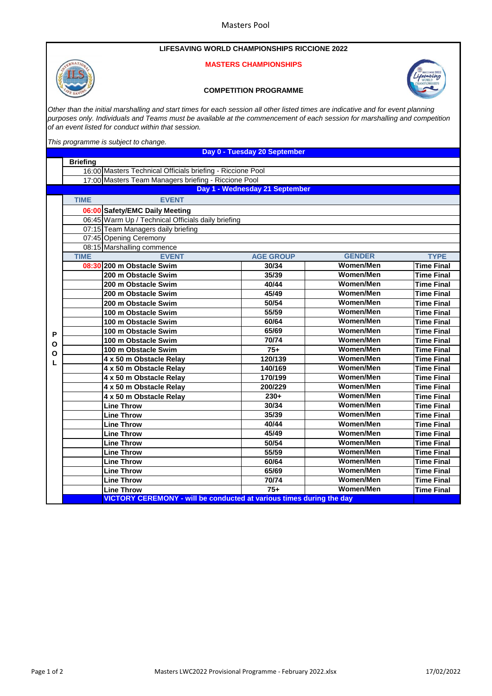## **LIFESAVING WORLD CHAMPIONSHIPS RICCIONE 2022**

## **MASTERS CHAMPIONSHIPS**





*Other than the initial marshalling and start times for each session all other listed times are indicative and for event planning purposes only. Individuals and Teams must be available at the commencement of each session for marshalling and competition of an event listed for conduct within that session.*

*This programme is subject to change.* 

**Briefing** 16:00 Masters Technical Officials briefing - Riccione Pool 17:00 Masters Team Managers briefing - Riccione Pool **TIME EVENT 06:00 Safety/EMC Daily Meeting** 06:45 Warm Up / Technical Officials daily briefing 07:15 Team Managers daily briefing 07:45 Opening Ceremony 08:15 Marshalling commence **TIME EVENT AGE GROUP GENDER TYPE 08:30 200 m Obstacle Swim 30/34 Women/Men Time Final 200 m Obstacle Swim 35/39 Women/Men Time Final 200 m Obstacle Swim 40/44 Women/Men Time Final 200 m Obstacle Swim 45/49 Women/Men Time Final 200 m Obstacle Swim 50/54 Women/Men Time Final 100 m Obstacle Swim 55/59 Women/Men Time Final 100 m Obstacle Swim 60/64 Women/Men Time Final 100 m Obstacle Swim 65/69 Women/Men Time Final 100 m Obstacle Swim 70/74 Women/Men Time Final 100 m Obstacle Swim 75+ Women/Men Time Final 4 x 50 m Obstacle Relay 120/139 Women/Men Time Final 4 x 50 m Obstacle Relay 140/169 Women/Men Time Final 4 x 50 m Obstacle Relay 170/199 Women/Men Time Final 4 x 50 m Obstacle Relay 200/229 Women/Men Time Final 4 x 50 m Obstacle Relay 230+ Women/Men Time Final Line Throw 30/34 Women/Men Time Final Line Throw 35/39 Women/Men Time Final Line Throw 40/44 Women/Men Time Final Line Throw 45/49 Women/Men Time Final Line Throw 50/54 Women/Men Time Final Line Throw 55/59 Women/Men Time Final Line Throw 60/64 Women/Men Time Final Line Throw 65/69 Women/Men Time Final Line Throw 70/74 Women/Men Time Final Line Throw 75+ Women/Men Time Final VICTORY CEREMONY - will be conducted at various times during the day Day 1 - Wednesday 21 September P O O L Day 0 - Tuesday 20 September**